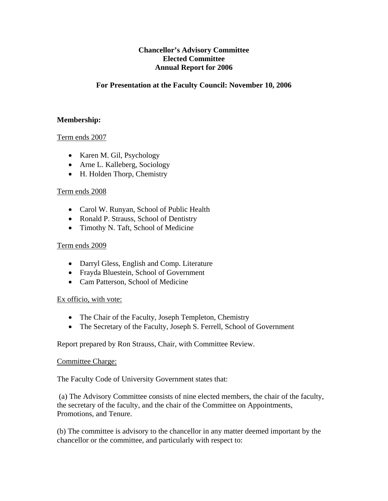# **Chancellor's Advisory Committee Elected Committee Annual Report for 2006**

# **For Presentation at the Faculty Council: November 10, 2006**

## **Membership:**

## Term ends 2007

- Karen M. Gil, Psychology
- Arne L. Kalleberg, Sociology
- H. Holden Thorp, Chemistry

#### Term ends 2008

- Carol W. Runyan, School of Public Health
- Ronald P. Strauss, School of Dentistry
- Timothy N. Taft, School of Medicine

## Term ends 2009

- Darryl Gless, English and Comp. Literature
- Frayda Bluestein, School of Government
- Cam Patterson, School of Medicine

# Ex officio, with vote:

- The Chair of the Faculty, Joseph Templeton, Chemistry
- The Secretary of the Faculty, Joseph S. Ferrell, School of Government

Report prepared by Ron Strauss, Chair, with Committee Review.

#### Committee Charge:

The Faculty Code of University Government states that:

 (a) The Advisory Committee consists of nine elected members, the chair of the faculty, the secretary of the faculty, and the chair of the Committee on Appointments, Promotions, and Tenure.

(b) The committee is advisory to the chancellor in any matter deemed important by the chancellor or the committee, and particularly with respect to: